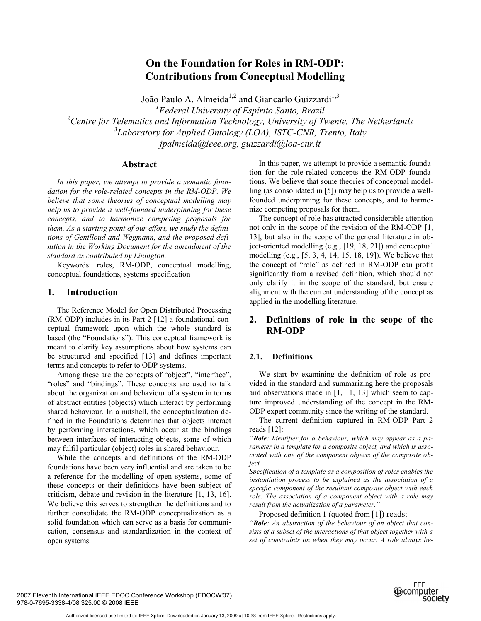# **On the Foundation for Roles in RM-ODP: Contributions from Conceptual Modelling**

João Paulo A. Almeida<sup>1,2</sup> and Giancarlo Guizzardi<sup>1,3</sup> *1 Federal University of Espírito Santo, Brazil 2 Centre for Telematics and Information Technology, University of Twente, The Netherlands 3 Laboratory for Applied Ontology (LOA), ISTC-CNR, Trento, Italy jpalmeida@ieee.org, guizzardi@loa-cnr.it*

#### **Abstract**

*In this paper, we attempt to provide a semantic foundation for the role-related concepts in the RM-ODP. We believe that some theories of conceptual modelling may help us to provide a well-founded underpinning for these concepts, and to harmonize competing proposals for them. As a starting point of our effort, we study the definitions of Genilloud and Wegmann, and the proposed definition in the Working Document for the amendment of the standard as contributed by Linington.* 

Keywords: roles, RM-ODP, conceptual modelling, conceptual foundations, systems specification

### **1. Introduction**

The Reference Model for Open Distributed Processing (RM-ODP) includes in its Part 2 [12] a foundational conceptual framework upon which the whole standard is based (the "Foundations"). This conceptual framework is meant to clarify key assumptions about how systems can be structured and specified [13] and defines important terms and concepts to refer to ODP systems.

Among these are the concepts of "object", "interface", "roles" and "bindings". These concepts are used to talk about the organization and behaviour of a system in terms of abstract entities (objects) which interact by performing shared behaviour. In a nutshell, the conceptualization defined in the Foundations determines that objects interact by performing interactions, which occur at the bindings between interfaces of interacting objects, some of which may fulfil particular (object) roles in shared behaviour.

While the concepts and definitions of the RM-ODP foundations have been very influential and are taken to be a reference for the modelling of open systems, some of these concepts or their definitions have been subject of criticism, debate and revision in the literature [1, 13, 16]. We believe this serves to strengthen the definitions and to further consolidate the RM-ODP conceptualization as a solid foundation which can serve as a basis for communication, consensus and standardization in the context of open systems.

In this paper, we attempt to provide a semantic foundation for the role-related concepts the RM-ODP foundations. We believe that some theories of conceptual modelling (as consolidated in [5]) may help us to provide a wellfounded underpinning for these concepts, and to harmonize competing proposals for them.

The concept of role has attracted considerable attention not only in the scope of the revision of the RM-ODP [1, 13], but also in the scope of the general literature in object-oriented modelling (e.g., [19, 18, 21]) and conceptual modelling (e.g., [5, 3, 4, 14, 15, 18, 19]). We believe that the concept of "role" as defined in RM-ODP can profit significantly from a revised definition, which should not only clarify it in the scope of the standard, but ensure alignment with the current understanding of the concept as applied in the modelling literature.

# **2. Definitions of role in the scope of the RM-ODP**

#### **2.1. Definitions**

We start by examining the definition of role as provided in the standard and summarizing here the proposals and observations made in [1, 11, 13] which seem to capture improved understanding of the concept in the RM-ODP expert community since the writing of the standard.

The current definition captured in RM-ODP Part 2 reads [12]:

*"Role: Identifier for a behaviour, which may appear as a parameter in a template for a composite object, and which is associated with one of the component objects of the composite object.* 

*Specification of a template as a composition of roles enables the instantiation process to be explained as the association of a specific component of the resultant composite object with each role. The association of a component object with a role may result from the actualization of a parameter."*

Proposed definition 1 (quoted from [1]) reads:

*"Role: An abstraction of the behaviour of an object that consists of a subset of the interactions of that object together with a set of constraints on when they may occur. A role always be-*

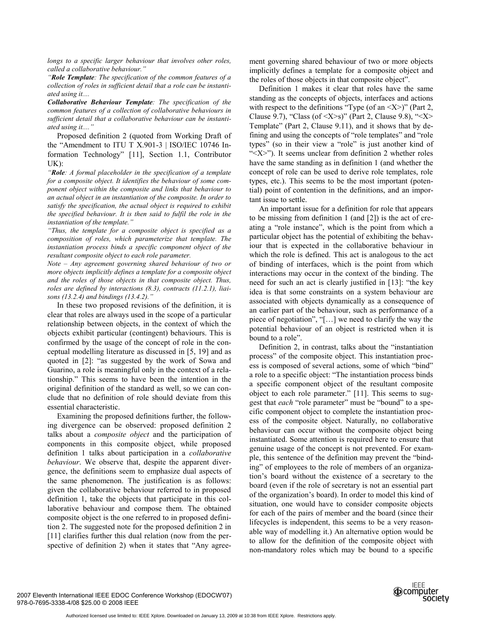*longs to a specific larger behaviour that involves other roles, called a collaborative behaviour."* 

*"Role Template: The specification of the common features of a collection of roles in sufficient detail that a role can be instantiated using it....* 

*Collaborative Behaviour Template: The specification of the common features of a collection of collaborative behaviours in sufficient detail that a collaborative behaviour can be instantiated using it...."*

Proposed definition 2 (quoted from Working Draft of the "Amendment to ITU T X.901-3 | ISO/IEC 10746 Information Technology" [11], Section 1.1, Contributor UK):

*"Role: A formal placeholder in the specification of a template for a composite object. It identifies the behaviour of some component object within the composite and links that behaviour to an actual object in an instantiation of the composite. In order to satisfy the specification, the actual object is required to exhibit the specified behaviour. It is then said to fulfil the role in the instantiation of the template."*

*"Thus, the template for a composite object is specified as a composition of roles, which parameterize that template. The instantiation process binds a specific component object of the resultant composite object to each role parameter.* 

*Note – Any agreement governing shared behaviour of two or more objects implicitly defines a template for a composite object and the roles of those objects in that composite object. Thus, roles are defined by interactions (8.3), contracts (11.2.1), liaisons (13.2.4) and bindings (13.4.2)."*

In these two proposed revisions of the definition, it is clear that roles are always used in the scope of a particular relationship between objects, in the context of which the objects exhibit particular (contingent) behaviours. This is confirmed by the usage of the concept of role in the conceptual modelling literature as discussed in [5, 19] and as quoted in [2]: "as suggested by the work of Sowa and Guarino, a role is meaningful only in the context of a relationship." This seems to have been the intention in the original definition of the standard as well, so we can conclude that no definition of role should deviate from this essential characteristic.

Examining the proposed definitions further, the following divergence can be observed: proposed definition 2 talks about a *composite object* and the participation of components in this composite object, while proposed definition 1 talks about participation in a *collaborative behaviour*. We observe that, despite the apparent divergence, the definitions seem to emphasize dual aspects of the same phenomenon. The justification is as follows: given the collaborative behaviour referred to in proposed definition 1, take the objects that participate in this collaborative behaviour and compose them. The obtained composite object is the one referred to in proposed definition 2. The suggested note for the proposed definition 2 in [11] clarifies further this dual relation (now from the perspective of definition 2) when it states that "Any agreement governing shared behaviour of two or more objects implicitly defines a template for a composite object and the roles of those objects in that composite object".

Definition 1 makes it clear that roles have the same standing as the concepts of objects, interfaces and actions with respect to the definitions "Type (of an <X>)" (Part 2, Clause 9.7), "Class (of  $\langle X \rangle$ s)" (Part 2, Clause 9.8), " $\langle X \rangle$ Template" (Part 2, Clause 9.11), and it shows that by defining and using the concepts of "role templates" and "role types" (so in their view a "role" is just another kind of " $\langle X \rangle$ "). It seems unclear from definition 2 whether roles have the same standing as in definition 1 (and whether the concept of role can be used to derive role templates, role types, etc.). This seems to be the most important (potential) point of contention in the definitions, and an important issue to settle.

An important issue for a definition for role that appears to be missing from definition 1 (and [2]) is the act of creating a "role instance", which is the point from which a particular object has the potential of exhibiting the behaviour that is expected in the collaborative behaviour in which the role is defined. This act is analogous to the act of binding of interfaces, which is the point from which interactions may occur in the context of the binding. The need for such an act is clearly justified in [13]: "the key idea is that some constraints on a system behaviour are associated with objects dynamically as a consequence of an earlier part of the behaviour, such as performance of a piece of negotiation", "[…] we need to clarify the way the potential behaviour of an object is restricted when it is bound to a role".

Definition 2, in contrast, talks about the "instantiation process" of the composite object. This instantiation process is composed of several actions, some of which "bind" a role to a specific object: "The instantiation process binds a specific component object of the resultant composite object to each role parameter." [11]. This seems to suggest that *each* "role parameter" must be "bound" to a specific component object to complete the instantiation process of the composite object. Naturally, no collaborative behaviour can occur without the composite object being instantiated. Some attention is required here to ensure that genuine usage of the concept is not prevented. For example, this sentence of the definition may prevent the "binding" of employees to the role of members of an organization's board without the existence of a secretary to the board (even if the role of secretary is not an essential part of the organization's board). In order to model this kind of situation, one would have to consider composite objects for each of the pairs of member and the board (since their lifecycles is independent, this seems to be a very reasonable way of modelling it.) An alternative option would be to allow for the definition of the composite object with non-mandatory roles which may be bound to a specific

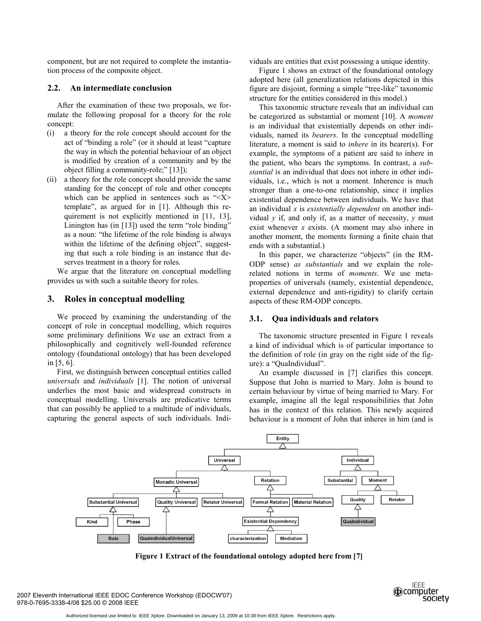component, but are not required to complete the instantiation process of the composite object.

#### **2.2. An intermediate conclusion**

After the examination of these two proposals, we formulate the following proposal for a theory for the role concept:

- (i) a theory for the role concept should account for the act of "binding a role" (or it should at least "capture the way in which the potential behaviour of an object is modified by creation of a community and by the object filling a community-role;" [13]);
- (ii) a theory for the role concept should provide the same standing for the concept of role and other concepts which can be applied in sentences such as " $\langle X \rangle$ " template", as argued for in [1]. Although this requirement is not explicitly mentioned in [11, 13], Linington has (in [13]) used the term "role binding" as a noun: "the lifetime of the role binding is always within the lifetime of the defining object", suggesting that such a role binding is an instance that deserves treatment in a theory for roles.

We argue that the literature on conceptual modelling provides us with such a suitable theory for roles.

#### **3. Roles in conceptual modelling**

We proceed by examining the understanding of the concept of role in conceptual modelling, which requires some preliminary definitions We use an extract from a philosophically and cognitively well-founded reference ontology (foundational ontology) that has been developed in [5, 6].

First, we distinguish between conceptual entities called *universals* and *individuals* [1]. The notion of universal underlies the most basic and widespread constructs in conceptual modelling. Universals are predicative terms that can possibly be applied to a multitude of individuals, capturing the general aspects of such individuals. Individuals are entities that exist possessing a unique identity.

Figure 1 shows an extract of the foundational ontology adopted here (all generalization relations depicted in this figure are disjoint, forming a simple "tree-like" taxonomic structure for the entities considered in this model.)

This taxonomic structure reveals that an individual can be categorized as substantial or moment [10]. A *moment* is an individual that existentially depends on other individuals, named its *bearers*. In the conceptual modelling literature, a moment is said to *inhere* in its bearer(s). For example, the symptoms of a patient are said to inhere in the patient, who bears the symptoms. In contrast, a *substantial* is an individual that does not inhere in other individuals, i.e., which is not a moment. Inherence is much stronger than a one-to-one relationship, since it implies existential dependence between individuals. We have that an individual *x* is *existentially dependent* on another individual *y* if, and only if, as a matter of necessity, *y* must exist whenever *x* exists. (A moment may also inhere in another moment, the moments forming a finite chain that ends with a substantial.)

In this paper, we characterize "objects" (in the RM-ODP sense) *as substantials* and we explain the rolerelated notions in terms of *moments*. We use metaproperties of universals (namely, existential dependence, external dependence and anti-rigidity) to clarify certain aspects of these RM-ODP concepts.

#### **3.1. Qua individuals and relators**

The taxonomic structure presented in Figure 1 reveals a kind of individual which is of particular importance to the definition of role (in gray on the right side of the figure): a "QuaIndividual".

An example discussed in [7] clarifies this concept. Suppose that John is married to Mary. John is bound to certain behaviour by virtue of being married to Mary. For example, imagine all the legal responsibilities that John has in the context of this relation. This newly acquired behaviour is a moment of John that inheres in him (and is



**Figure 1 Extract of the foundational ontology adopted here from [7]**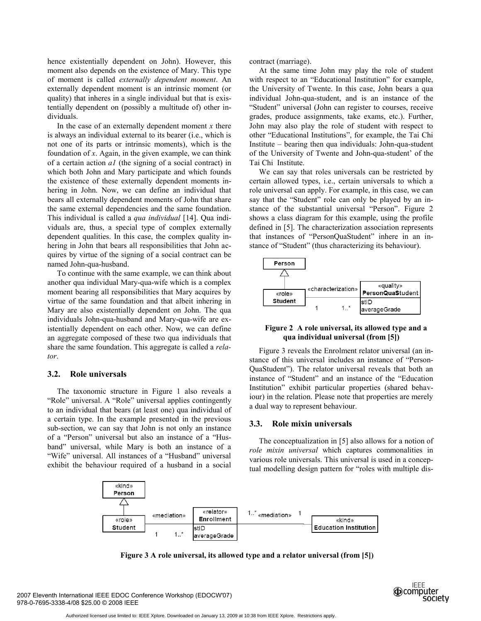hence existentially dependent on John). However, this moment also depends on the existence of Mary. This type of moment is called *externally dependent moment*. An externally dependent moment is an intrinsic moment (or quality) that inheres in a single individual but that is existentially dependent on (possibly a multitude of) other individuals.

In the case of an externally dependent moment  $x$  there is always an individual external to its bearer (i.e., which is not one of its parts or intrinsic moments), which is the foundation of *x*. Again, in the given example, we can think of a certain action *a1* (the signing of a social contract) in which both John and Mary participate and which founds the existence of these externally dependent moments inhering in John. Now, we can define an individual that bears all externally dependent moments of John that share the same external dependencies and the same foundation. This individual is called a *qua individual* [14]. Qua individuals are, thus, a special type of complex externally dependent qualities. In this case, the complex quality inhering in John that bears all responsibilities that John acquires by virtue of the signing of a social contract can be named John-qua-husband.

To continue with the same example, we can think about another qua individual Mary-qua-wife which is a complex moment bearing all responsibilities that Mary acquires by virtue of the same foundation and that albeit inhering in Mary are also existentially dependent on John. The qua individuals John-qua-husband and Mary-qua-wife are existentially dependent on each other. Now, we can define an aggregate composed of these two qua individuals that share the same foundation. This aggregate is called a *relator*.

### **3.2. Role universals**

The taxonomic structure in Figure 1 also reveals a "Role" universal. A "Role" universal applies contingently to an individual that bears (at least one) qua individual of a certain type. In the example presented in the previous sub-section, we can say that John is not only an instance of a "Person" universal but also an instance of a "Husband" universal, while Mary is both an instance of a "Wife" universal. All instances of a "Husband" universal exhibit the behaviour required of a husband in a social

contract (marriage).

At the same time John may play the role of student with respect to an "Educational Institution" for example, the University of Twente. In this case, John bears a qua individual John-qua-student, and is an instance of the "Student" universal (John can register to courses, receive grades, produce assignments, take exams, etc.). Further, John may also play the role of student with respect to other "Educational Institutions", for example, the Tai Chi Institute – bearing then qua individuals: John-qua-student of the University of Twente and John-qua-student' of the Tai Chi Institute.

We can say that roles universals can be restricted by certain allowed types, i.e., certain universals to which a role universal can apply. For example, in this case, we can say that the "Student" role can only be played by an instance of the substantial universal "Person". Figure 2 shows a class diagram for this example, using the profile defined in [5]. The characterization association represents that instances of "PersonQuaStudent" inhere in an instance of "Student" (thus characterizing its behaviour).



#### **Figure 2 A role universal, its allowed type and a qua individual universal (from [5])**

Figure 3 reveals the Enrolment relator universal (an instance of this universal includes an instance of "Person-QuaStudent"). The relator universal reveals that both an instance of "Student" and an instance of the "Education Institution" exhibit particular properties (shared behaviour) in the relation. Please note that properties are merely a dual way to represent behaviour.

#### **3.3. Role mixin universals**

The conceptualization in [5] also allows for a notion of *role mixin universal* which captures commonalities in various role universals. This universal is used in a conceptual modelling design pattern for "roles with multiple dis-



**Figure 3 A role universal, its allowed type and a relator universal (from [5])**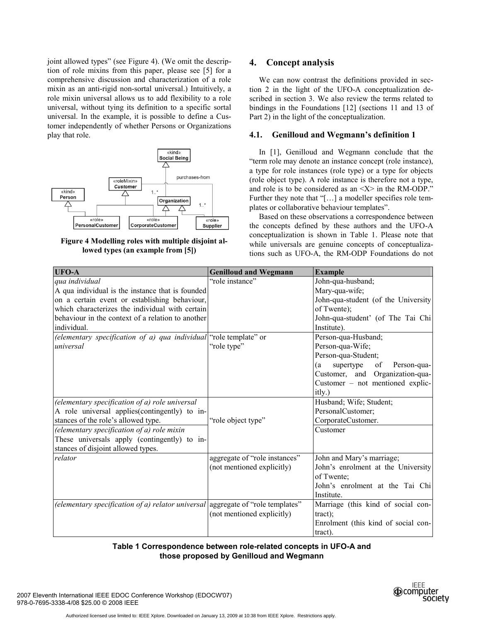joint allowed types" (see Figure 4). (We omit the description of role mixins from this paper, please see [5] for a comprehensive discussion and characterization of a role mixin as an anti-rigid non-sortal universal.) Intuitively, a role mixin universal allows us to add flexibility to a role universal, without tying its definition to a specific sortal universal. In the example, it is possible to define a Customer independently of whether Persons or Organizations play that role.



**Figure 4 Modelling roles with multiple disjoint allowed types (an example from [5])**

# **4. Concept analysis**

We can now contrast the definitions provided in section 2 in the light of the UFO-A conceptualization described in section 3. We also review the terms related to bindings in the Foundations [12] (sections 11 and 13 of Part 2) in the light of the conceptualization.

#### **4.1. Genilloud and Wegmann's definition 1**

In [1], Genilloud and Wegmann conclude that the "term role may denote an instance concept (role instance), a type for role instances (role type) or a type for objects (role object type). A role instance is therefore not a type, and role is to be considered as an <X> in the RM-ODP." Further they note that "[…] a modeller specifies role templates or collaborative behaviour templates".

Based on these observations a correspondence between the concepts defined by these authors and the UFO-A conceptualization is shown in Table 1. Please note that while universals are genuine concepts of conceptualizations such as UFO-A, the RM-ODP Foundations do not

| <b>UFO-A</b>                                                                    | <b>Genilloud and Wegmann</b>  | <b>Example</b>                       |
|---------------------------------------------------------------------------------|-------------------------------|--------------------------------------|
| qua individual                                                                  | "role instance"               | John-qua-husband;                    |
| A qua individual is the instance that is founded                                |                               | Mary-qua-wife;                       |
| on a certain event or establishing behaviour,                                   |                               | John-qua-student (of the University  |
| which characterizes the individual with certain                                 |                               | of Twente);                          |
| behaviour in the context of a relation to another                               |                               | John-qua-student' (of The Tai Chi    |
| individual.                                                                     |                               | Institute).                          |
| (elementary specification of a) qua individual "role template" or               |                               | Person-qua-Husband;                  |
| universal                                                                       | "role type"                   | Person-qua-Wife;                     |
|                                                                                 |                               | Person-qua-Student;                  |
|                                                                                 |                               | supertype<br>of<br>Person-qua-<br>(a |
|                                                                                 |                               | Customer, and Organization-qua-      |
|                                                                                 |                               | Customer - not mentioned explic-     |
|                                                                                 |                               | itly.)                               |
| (elementary specification of a) role universal                                  |                               | Husband; Wife; Student;              |
| A role universal applies (contingently) to in-                                  |                               | PersonalCustomer;                    |
| stances of the role's allowed type.                                             | "role object type"            | CorporateCustomer.                   |
| (elementary specification of a) role mixin                                      |                               | Customer                             |
| These universals apply (contingently) to in-                                    |                               |                                      |
| stances of disjoint allowed types.                                              |                               |                                      |
| relator                                                                         | aggregate of "role instances" | John and Mary's marriage;            |
|                                                                                 | (not mentioned explicitly)    | John's enrolment at the University   |
|                                                                                 |                               | of Twente;                           |
|                                                                                 |                               | John's enrolment at the Tai Chi      |
|                                                                                 |                               | Institute.                           |
| (elementary specification of a) relator universal aggregate of "role templates" |                               | Marriage (this kind of social con-   |
|                                                                                 | (not mentioned explicitly)    | tract);                              |
|                                                                                 |                               | Enrolment (this kind of social con-  |
|                                                                                 |                               | tract).                              |

# **Table 1 Correspondence between role-related concepts in UFO-A and those proposed by Genilloud and Wegmann**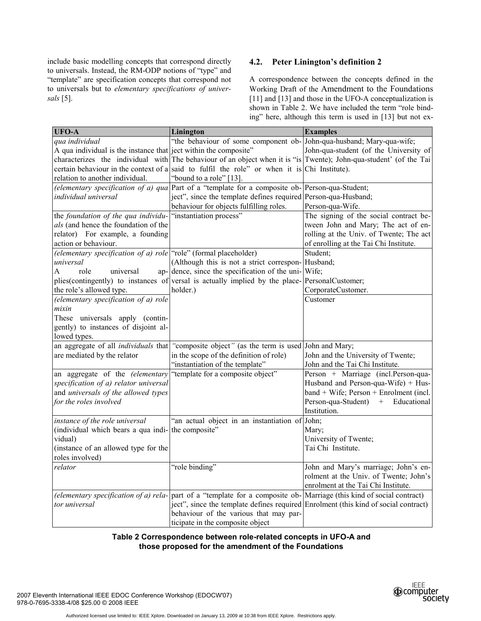include basic modelling concepts that correspond directly to universals. Instead, the RM-ODP notions of "type" and "template" are specification concepts that correspond not to universals but to *elementary specifications of universals* [5].

# **4.2. Peter Linington's definition 2**

A correspondence between the concepts defined in the Working Draft of the Amendment to the Foundations [11] and [13] and those in the UFO-A conceptualization is shown in Table 2. We have included the term "role binding" here, although this term is used in [13] but not ex-

| UFO-A                                                            | Linington                                                                                                          | <b>Examples</b>                           |  |
|------------------------------------------------------------------|--------------------------------------------------------------------------------------------------------------------|-------------------------------------------|--|
| qua individual                                                   | "the behaviour of some component ob- John-qua-husband; Mary-qua-wife;                                              |                                           |  |
| A qua individual is the instance that ject within the composite" |                                                                                                                    | John-qua-student (of the University of    |  |
|                                                                  | characterizes the individual with The behaviour of an object when it is "is Twente); John-qua-student' (of the Tai |                                           |  |
| certain behaviour in the context of a                            | said to fulfil the role" or when it is                                                                             | Chi Institute).                           |  |
| relation to another individual.                                  | "bound to a role" [13].                                                                                            |                                           |  |
|                                                                  | (elementary specification of a) qua Part of a "template for a composite ob- Person-qua-Student;                    |                                           |  |
| individual universal                                             | ject", since the template defines required Person-qua-Husband;                                                     |                                           |  |
|                                                                  | behaviour for objects fulfilling roles.                                                                            | Person-qua-Wife.                          |  |
| the foundation of the qua individu-                              | "instantiation process"                                                                                            | The signing of the social contract be-    |  |
| als (and hence the foundation of the                             |                                                                                                                    | tween John and Mary; The act of en-       |  |
| relator) For example, a founding                                 |                                                                                                                    | rolling at the Univ. of Twente; The act   |  |
| action or behaviour.                                             |                                                                                                                    | of enrolling at the Tai Chi Institute.    |  |
| (elementary specification of a) role "role" (formal placeholder) |                                                                                                                    | Student;                                  |  |
| universal                                                        | (Although this is not a strict correspon-                                                                          | Husband;                                  |  |
| role<br>universal<br>A<br>ap-                                    | dence, since the specification of the uni-                                                                         | Wife;                                     |  |
|                                                                  | plies (contingently) to instances of versal is actually implied by the place-                                      | PersonalCustomer;                         |  |
| the role's allowed type.                                         | holder.)                                                                                                           | CorporateCustomer.                        |  |
| (elementary specification of a) role                             |                                                                                                                    | Customer                                  |  |
| mixin                                                            |                                                                                                                    |                                           |  |
| These universals apply (contin-                                  |                                                                                                                    |                                           |  |
| gently) to instances of disjoint al-                             |                                                                                                                    |                                           |  |
| lowed types.                                                     |                                                                                                                    |                                           |  |
| an aggregate of all individuals that                             | "composite object" (as the term is used John and Mary;                                                             |                                           |  |
| are mediated by the relator                                      | in the scope of the definition of role)                                                                            | John and the University of Twente;        |  |
|                                                                  | "instantiation of the template"                                                                                    | John and the Tai Chi Institute.           |  |
| an aggregate of the (elementary                                  | "template for a composite object"                                                                                  | Person + Marriage (incl. Person-qua-      |  |
| specification of a) relator universal                            |                                                                                                                    | Husband and Person-qua-Wife) + Hus-       |  |
| and universals of the allowed types                              |                                                                                                                    | $band + Wife$ ; Person + Enrolment (incl. |  |
| for the roles involved                                           |                                                                                                                    | Educational<br>Person-qua-Student)<br>$+$ |  |
|                                                                  |                                                                                                                    | Institution.                              |  |
| instance of the role universal                                   | "an actual object in an instantiation of John;                                                                     |                                           |  |
| (individual which bears a qua indi- the composite"               |                                                                                                                    | Mary:                                     |  |
| vidual)                                                          |                                                                                                                    | University of Twente;                     |  |
| (instance of an allowed type for the                             |                                                                                                                    | Tai Chi Institute.                        |  |
| roles involved)                                                  |                                                                                                                    |                                           |  |
| relator                                                          | "role binding"                                                                                                     | John and Mary's marriage; John's en-      |  |
|                                                                  |                                                                                                                    | rolment at the Univ. of Twente; John's    |  |
|                                                                  |                                                                                                                    | enrolment at the Tai Chi Institute.       |  |
| (elementary specification of a) rela-                            | part of a "template for a composite ob- Marriage (this kind of social contract)                                    |                                           |  |
| tor universal                                                    | ject", since the template defines required Enrolment (this kind of social contract)                                |                                           |  |
|                                                                  | behaviour of the various that may par-                                                                             |                                           |  |
|                                                                  | ticipate in the composite object                                                                                   |                                           |  |

# **Table 2 Correspondence between role-related concepts in UFO-A and those proposed for the amendment of the Foundations**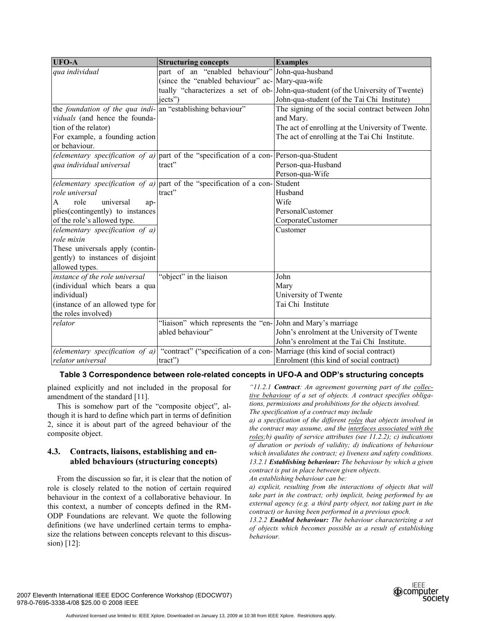| UFO-A                                                       | <b>Structuring concepts</b>                                                             | <b>Examples</b>                                                                  |  |
|-------------------------------------------------------------|-----------------------------------------------------------------------------------------|----------------------------------------------------------------------------------|--|
| qua individual                                              | part of an "enabled behaviour"                                                          | John-qua-husband                                                                 |  |
|                                                             | (since the "enabled behaviour" ac- Mary-qua-wife                                        |                                                                                  |  |
|                                                             |                                                                                         | tually "characterizes a set of ob-John-qua-student (of the University of Twente) |  |
|                                                             | jects")                                                                                 | John-qua-student (of the Tai Chi Institute)                                      |  |
| the foundation of the qua indi- an "establishing behaviour" |                                                                                         | The signing of the social contract between John                                  |  |
| viduals (and hence the founda-                              |                                                                                         | and Mary.                                                                        |  |
| tion of the relator)                                        |                                                                                         | The act of enrolling at the University of Twente.                                |  |
| For example, a founding action                              |                                                                                         | The act of enrolling at the Tai Chi Institute.                                   |  |
| or behaviour.                                               |                                                                                         |                                                                                  |  |
|                                                             | (elementary specification of a) part of the "specification of a con- Person-qua-Student |                                                                                  |  |
| qua individual universal                                    | tract"                                                                                  | Person-qua-Husband                                                               |  |
|                                                             |                                                                                         | Person-qua-Wife                                                                  |  |
|                                                             | (elementary specification of a) part of the "specification of a con-                    | Student                                                                          |  |
| role universal                                              | tract"                                                                                  | Husband                                                                          |  |
| role<br>universal<br>A<br>ap-                               |                                                                                         | Wife                                                                             |  |
| plies(contingently) to instances                            |                                                                                         | PersonalCustomer                                                                 |  |
| of the role's allowed type.                                 |                                                                                         | CorporateCustomer                                                                |  |
| (elementary specification of $a$ )                          |                                                                                         | Customer                                                                         |  |
| role mixin                                                  |                                                                                         |                                                                                  |  |
| These universals apply (contin-                             |                                                                                         |                                                                                  |  |
| gently) to instances of disjoint                            |                                                                                         |                                                                                  |  |
| allowed types.                                              |                                                                                         |                                                                                  |  |
| instance of the role universal                              | "object" in the liaison                                                                 | John                                                                             |  |
| (individual which bears a qua                               |                                                                                         | Mary                                                                             |  |
| individual)                                                 |                                                                                         | University of Twente                                                             |  |
| (instance of an allowed type for                            |                                                                                         | Tai Chi Institute                                                                |  |
| the roles involved)                                         |                                                                                         |                                                                                  |  |
| relator                                                     | "liaison" which represents the "en- John and Mary's marriage                            |                                                                                  |  |
|                                                             | abled behaviour"                                                                        | John's enrolment at the University of Twente                                     |  |
|                                                             |                                                                                         | John's enrolment at the Tai Chi Institute.                                       |  |
| (elementary specification of $a$ )                          |                                                                                         | "contract" ("specification of a con- Marriage (this kind of social contract)     |  |
| relator universal                                           | $\text{tract}^{\prime\prime}$                                                           | Enrolment (this kind of social contract)                                         |  |

# **Table 3 Correspondence between role-related concepts in UFO-A and ODP's structuring concepts**

plained explicitly and not included in the proposal for amendment of the standard [11].

This is somehow part of the "composite object", although it is hard to define which part in terms of definition 2, since it is about part of the agreed behaviour of the composite object.

# **4.3. Contracts, liaisons, establishing and enabled behaviours (structuring concepts)**

From the discussion so far, it is clear that the notion of role is closely related to the notion of certain required behaviour in the context of a collaborative behaviour. In this context, a number of concepts defined in the RM-ODP Foundations are relevant. We quote the following definitions (we have underlined certain terms to emphasize the relations between concepts relevant to this discussion) [12]:

*"11.2.1 Contract: An agreement governing part of the collective behaviour of a set of objects. A contract specifies obligations, permissions and prohibitions for the objects involved. The specification of a contract may include* 

*a) a specification of the different roles that objects involved in the contract may assume, and the interfaces associated with the roles;b) quality of service attributes (see 11.2.2); c) indications of duration or periods of validity; d) indications of behaviour which invalidates the contract; e) liveness and safety conditions. 13.2.1 Establishing behaviour: The behaviour by which a given contract is put in place between given objects.* 

*An establishing behaviour can be:* 

*a) explicit, resulting from the interactions of objects that will take part in the contract; orb) implicit, being performed by an external agency (e.g. a third party object, not taking part in the contract) or having been performed in a previous epoch.* 

*13.2.2 Enabled behaviour: The behaviour characterizing a set of objects which becomes possible as a result of establishing behaviour.*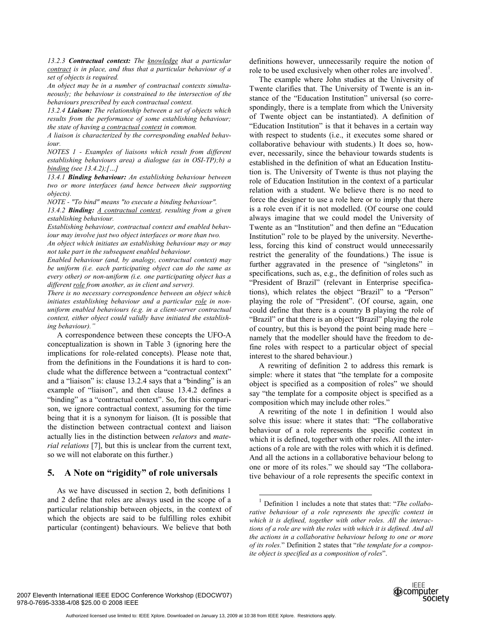*13.2.3 Contractual context: The knowledge that a particular contract is in place, and thus that a particular behaviour of a set of objects is required.* 

*An object may be in a number of contractual contexts simultaneously; the behaviour is constrained to the intersection of the behaviours prescribed by each contractual context.* 

*13.2.4 Liaison: The relationship between a set of objects which results from the performance of some establishing behaviour; the state of having a contractual context in common.* 

*A liaison is characterized by the corresponding enabled behaviour.* 

*NOTES 1 - Examples of liaisons which result from different establishing behaviours area) a dialogue (as in OSI-TP);b) a binding (see 13.4.2);[…]*

*13.4.1 Binding behaviour: An establishing behaviour between two or more interfaces (and hence between their supporting objects).* 

*NOTE - "To bind" means "to execute a binding behaviour".* 

*13.4.2 Binding: A contractual context, resulting from a given establishing behaviour.* 

*Establishing behaviour, contractual context and enabled behaviour may involve just two object interfaces or more than two.* 

*An object which initiates an establishing behaviour may or may not take part in the subsequent enabled behaviour.* 

*Enabled behaviour (and, by analogy, contractual context) may be uniform (i.e. each participating object can do the same as every other) or non-uniform (i.e. one participating object has a different role from another, as in client and server).* 

*There is no necessary correspondence between an object which*  initiates establishing behaviour and a particular role in non*uniform enabled behaviours (e.g. in a client-server contractual context, either object could validly have initiated the establishing behaviour)."*

A correspondence between these concepts the UFO-A conceptualization is shown in Table 3 (ignoring here the implications for role-related concepts). Please note that, from the definitions in the Foundations it is hard to conclude what the difference between a "contractual context" and a "liaison" is: clause 13.2.4 says that a "binding" is an example of "liaison", and then clause 13.4.2 defines a "binding" as a "contractual context". So, for this comparison, we ignore contractual context, assuming for the time being that it is a synonym for liaison. (It is possible that the distinction between contractual context and liaison actually lies in the distinction between *relators* and *material relations* [7], but this is unclear from the current text, so we will not elaborate on this further.)

# **5. A Note on "rigidity" of role universals**

As we have discussed in section 2, both definitions 1 and 2 define that roles are always used in the scope of a particular relationship between objects, in the context of which the objects are said to be fulfilling roles exhibit particular (contingent) behaviours. We believe that both

definitions however, unnecessarily require the notion of role to be used exclusively when other roles are involved<sup>1</sup>.

The example where John studies at the University of Twente clarifies that. The University of Twente is an instance of the "Education Institution" universal (so correspondingly, there is a template from which the University of Twente object can be instantiated). A definition of "Education Institution" is that it behaves in a certain way with respect to students (i.e., it executes some shared or collaborative behaviour with students.) It does so, however, necessarily, since the behaviour towards students is established in the definition of what an Education Institution is. The University of Twente is thus not playing the role of Education Institution in the context of a particular relation with a student. We believe there is no need to force the designer to use a role here or to imply that there is a role even if it is not modelled. (Of course one could always imagine that we could model the University of Twente as an "Institution" and then define an "Education Institution" role to be played by the university. Nevertheless, forcing this kind of construct would unnecessarily restrict the generality of the foundations.) The issue is further aggravated in the presence of "singletons" in specifications, such as, e.g., the definition of roles such as "President of Brazil" (relevant in Enterprise specifications), which relates the object "Brazil" to a "Person" playing the role of "President". (Of course, again, one could define that there is a country B playing the role of "Brazil" or that there is an object "Brazil" playing the role of country, but this is beyond the point being made here – namely that the modeller should have the freedom to define roles with respect to a particular object of special interest to the shared behaviour.)

A rewriting of definition 2 to address this remark is simple: where it states that "the template for a composite object is specified as a composition of roles" we should say "the template for a composite object is specified as a composition which may include other roles."

A rewriting of the note 1 in definition 1 would also solve this issue: where it states that: "The collaborative behaviour of a role represents the specific context in which it is defined, together with other roles. All the interactions of a role are with the roles with which it is defined. And all the actions in a collaborative behaviour belong to one or more of its roles." we should say "The collaborative behaviour of a role represents the specific context in

l

<sup>1</sup> Definition 1 includes a note that states that: "*The collaborative behaviour of a role represents the specific context in which it is defined, together with other roles. All the interactions of a role are with the roles with which it is defined. And all the actions in a collaborative behaviour belong to one or more of its roles.*" Definition 2 states that "*the template for a composite object is specified as a composition of roles*".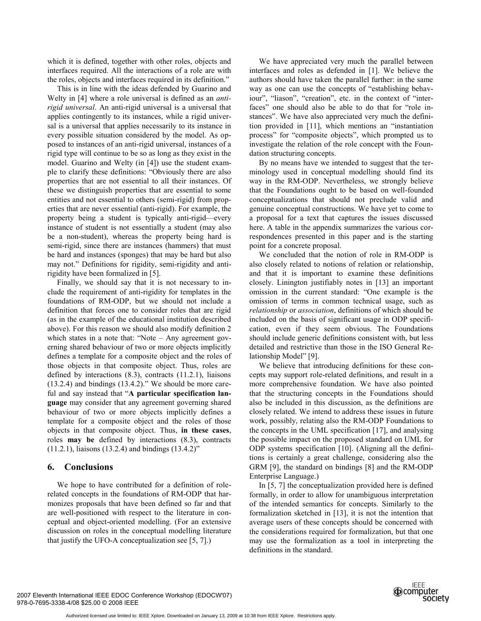which it is defined, together with other roles, objects and interfaces required. All the interactions of a role are with the roles, objects and interfaces required in its definition."

This is in line with the ideas defended by Guarino and Welty in [4] where a role universal is defined as an *antirigid universal*. An anti-rigid universal is a universal that applies contingently to its instances, while a rigid universal is a universal that applies necessarily to its instance in every possible situation considered by the model. As opposed to instances of an anti-rigid universal, instances of a rigid type will continue to be so as long as they exist in the model. Guarino and Welty (in [4]) use the student example to clarify these definitions: "Obviously there are also properties that are not essential to all their instances. Of these we distinguish properties that are essential to some entities and not essential to others (semi-rigid) from properties that are never essential (anti-rigid). For example, the property being a student is typically anti-rigid—every instance of student is not essentially a student (may also be a non-student), whereas the property being hard is semi-rigid, since there are instances (hammers) that must be hard and instances (sponges) that may be hard but also may not." Definitions for rigidity, semi-rigidity and antirigidity have been formalized in [5].

Finally, we should say that it is not necessary to include the requirement of anti-rigidity for templates in the foundations of RM-ODP, but we should not include a definition that forces one to consider roles that are rigid (as in the example of the educational institution described above). For this reason we should also modify definition 2 which states in a note that: "Note – Any agreement governing shared behaviour of two or more objects implicitly defines a template for a composite object and the roles of those objects in that composite object. Thus, roles are defined by interactions (8.3), contracts (11.2.1), liaisons (13.2.4) and bindings (13.4.2)." We should be more careful and say instead that "**A particular specification language** may consider that any agreement governing shared behaviour of two or more objects implicitly defines a template for a composite object and the roles of those objects in that composite object. Thus, **in these cases**, roles **may be** defined by interactions (8.3), contracts (11.2.1), liaisons (13.2.4) and bindings (13.4.2)"

# **6. Conclusions**

We hope to have contributed for a definition of rolerelated concepts in the foundations of RM-ODP that harmonizes proposals that have been defined so far and that are well-positioned with respect to the literature in conceptual and object-oriented modelling. (For an extensive discussion on roles in the conceptual modelling literature that justify the UFO-A conceptualization see [5, 7].)

We have appreciated very much the parallel between interfaces and roles as defended in [1]. We believe the authors should have taken the parallel further: in the same way as one can use the concepts of "establishing behaviour", "liason", "creation", etc. in the context of "interfaces" one should also be able to do that for "role instances". We have also appreciated very much the definition provided in [11], which mentions an "instantiation process" for "composite objects", which prompted us to investigate the relation of the role concept with the Foundation structuring concepts.

By no means have we intended to suggest that the terminology used in conceptual modelling should find its way in the RM-ODP. Nevertheless, we strongly believe that the Foundations ought to be based on well-founded conceptualizations that should not preclude valid and genuine conceptual constructions. We have yet to come to a proposal for a text that captures the issues discussed here. A table in the appendix summarizes the various correspondences presented in this paper and is the starting point for a concrete proposal.

We concluded that the notion of role in RM-ODP is also closely related to notions of relation or relationship, and that it is important to examine these definitions closely. Linington justifiably notes in [13] an important omission in the current standard: "One example is the omission of terms in common technical usage, such as *relationship* or *association*, definitions of which should be included on the basis of significant usage in ODP specification, even if they seem obvious. The Foundations should include generic definitions consistent with, but less detailed and restrictive than those in the ISO General Relationship Model" [9].

We believe that introducing definitions for these concepts may support role-related definitions, and result in a more comprehensive foundation. We have also pointed that the structuring concepts in the Foundations should also be included in this discussion, as the definitions are closely related. We intend to address these issues in future work, possibly, relating also the RM-ODP Foundations to the concepts in the UML specification [17], and analysing the possible impact on the proposed standard on UML for ODP systems specification [10]. (Aligning all the definitions is certainly a great challenge, considering also the GRM [9], the standard on bindings [8] and the RM-ODP Enterprise Language.)

In [5, 7] the conceptualization provided here is defined formally, in order to allow for unambiguous interpretation of the intended semantics for concepts. Similarly to the formalization sketched in [13], it is not the intention that average users of these concepts should be concerned with the considerations required for formalization, but that one may use the formalization as a tool in interpreting the definitions in the standard.

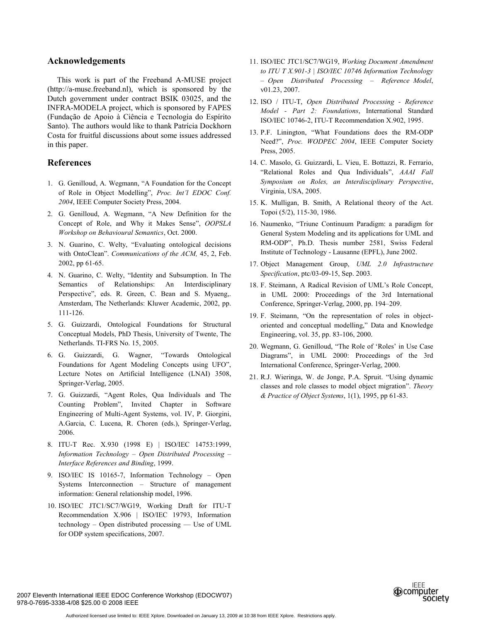### **Acknowledgements**

This work is part of the Freeband A-MUSE project (http://a-muse.freeband.nl), which is sponsored by the Dutch government under contract BSIK 03025, and the INFRA-MODELA project, which is sponsored by FAPES (Fundação de Apoio à Ciência e Tecnologia do Espírito Santo). The authors would like to thank Patrícia Dockhorn Costa for fruitful discussions about some issues addressed in this paper.

# **References**

- 1. G. Genilloud, A. Wegmann, "A Foundation for the Concept of Role in Object Modelling", *Proc. Int'l EDOC Conf. 2004*, IEEE Computer Society Press, 2004.
- 2. G. Genilloud, A. Wegmann, "A New Definition for the Concept of Role, and Why it Makes Sense", *OOPSLA Workshop on Behavioural Semantics*, Oct. 2000.
- 3. N. Guarino, C. Welty, "Evaluating ontological decisions with OntoClean". *Communications of the ACM,* 45, 2, Feb. 2002, pp 61-65.
- 4. N. Guarino, C. Welty, "Identity and Subsumption. In The Semantics of Relationships: An Interdisciplinary Perspective", eds. R. Green, C. Bean and S. Myaeng,. Amsterdam, The Netherlands: Kluwer Academic, 2002, pp. 111-126.
- 5. G. Guizzardi, Ontological Foundations for Structural Conceptual Models, PhD Thesis, University of Twente, The Netherlands. TI-FRS No. 15, 2005.
- 6. G. Guizzardi, G. Wagner, "Towards Ontological Foundations for Agent Modeling Concepts using UFO", Lecture Notes on Artificial Intelligence (LNAI) 3508, Springer-Verlag, 2005.
- 7. G. Guizzardi, "Agent Roles, Qua Individuals and The Counting Problem", Invited Chapter in Software Engineering of Multi-Agent Systems, vol. IV, P. Giorgini, A.Garcia, C. Lucena, R. Choren (eds.), Springer-Verlag, 2006.
- 8. ITU-T Rec. X.930 (1998 E) | ISO/IEC 14753:1999, *Information Technology – Open Distributed Processing – Interface References and Binding*, 1999.
- 9. ISO/IEC IS 10165-7, Information Technology Open Systems Interconnection – Structure of management information: General relationship model, 1996.
- 10. ISO/IEC JTC1/SC7/WG19, Working Draft for ITU-T Recommendation X.906 | ISO/IEC 19793, Information technology – Open distributed processing — Use of UML for ODP system specifications, 2007.
- 11. ISO/IEC JTC1/SC7/WG19, *Working Document Amendment to ITU T X.901-3 | ISO/IEC 10746 Information Technology – Open Distributed Processing – Reference Model*, v01.23, 2007.
- 12. ISO / ITU-T, *Open Distributed Processing Reference Model - Part 2: Foundations*, International Standard ISO/IEC 10746-2, ITU-T Recommendation X.902, 1995.
- 13. P.F. Linington, "What Foundations does the RM-ODP Need?", *Proc. WODPEC 2004*, IEEE Computer Society Press, 2005.
- 14. C. Masolo, G. Guizzardi, L. Vieu, E. Bottazzi, R. Ferrario, "Relational Roles and Qua Individuals", *AAAI Fall Symposium on Roles, an Interdisciplinary Perspective*, Virginia, USA, 2005.
- 15. K. Mulligan, B. Smith, A Relational theory of the Act. Topoi (5/2), 115-30, 1986.
- 16. Naumenko, "Triune Continuum Paradigm: a paradigm for General System Modeling and its applications for UML and RM-ODP", Ph.D. Thesis number 2581, Swiss Federal Institute of Technology - Lausanne (EPFL), June 2002.
- 17. Object Management Group, *UML 2.0 Infrastructure Specification*, ptc/03-09-15, Sep. 2003.
- 18. F. Steimann, A Radical Revision of UML's Role Concept, in UML 2000: Proceedings of the 3rd International Conference, Springer-Verlag, 2000, pp. 194–209.
- 19. F. Steimann, "On the representation of roles in objectoriented and conceptual modelling," Data and Knowledge Engineering, vol. 35, pp. 83-106, 2000.
- 20. Wegmann, G. Genilloud, "The Role of 'Roles' in Use Case Diagrams", in UML 2000: Proceedings of the 3rd International Conference, Springer-Verlag, 2000.
- 21. R.J. Wieringa, W. de Jonge, P.A. Spruit. "Using dynamic classes and role classes to model object migration". *Theory & Practice of Object Systems*, 1(1), 1995, pp 61-83.